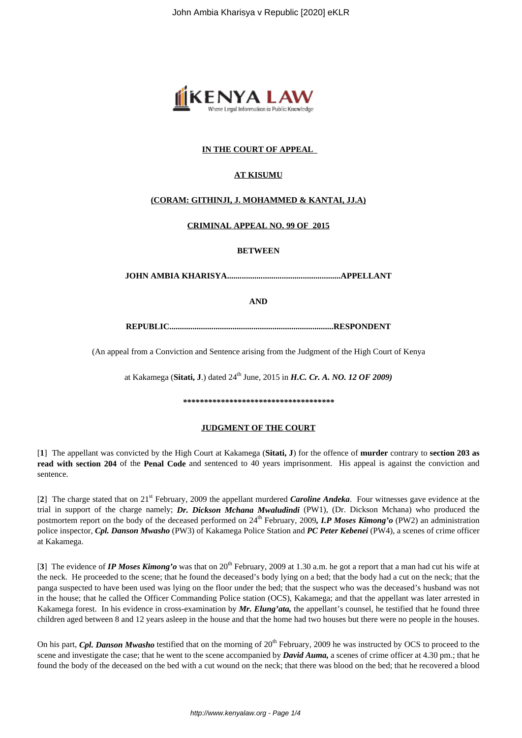

# **IN THE COURT OF APPEAL**

# **AT KISUMU**

## **(CORAM: GITHINJI, J. MOHAMMED & KANTAI, JJ.A)**

### **CRIMINAL APPEAL NO. 99 OF 2015**

#### **BETWEEN**

**JOHN AMBIA KHARISYA......................................................APPELLANT**

**AND**

**REPUBLIC..............................................................................RESPONDENT**

(An appeal from a Conviction and Sentence arising from the Judgment of the High Court of Kenya

at Kakamega (Sitati, J.) dated 24<sup>th</sup> June, 2015 in *H.C. Cr. A. NO. 12 OF 2009*)

*\*\*\*\*\*\*\*\*\*\*\*\*\*\*\*\*\*\*\*\*\*\*\*\*\*\*\*\*\*\*\*\*\*\*\*\**

#### **JUDGMENT OF THE COURT**

[**1**] The appellant was convicted by the High Court at Kakamega (**Sitati, J**) for the offence of **murder** contrary to **section 203 as read with section 204** of the **Penal Code** and sentenced to 40 years imprisonment. His appeal is against the conviction and sentence.

[**2**] The charge stated that on 21st February, 2009 the appellant murdered *Caroline Andeka*. Four witnesses gave evidence at the trial in support of the charge namely; *Dr. Dickson Mchana Mwaludindi* (PW1), (Dr. Dickson Mchana) who produced the postmortem report on the body of the deceased performed on 24<sup>th</sup> February, 2009, *I.P Moses Kimong'o* (PW2) an administration police inspector, *Cpl. Danson Mwasho* (PW3) of Kakamega Police Station and *PC Peter Kebenei* (PW4), a scenes of crime officer at Kakamega.

[3] The evidence of *IP Moses Kimong'o* was that on 20<sup>th</sup> February, 2009 at 1.30 a.m. he got a report that a man had cut his wife at the neck. He proceeded to the scene; that he found the deceased's body lying on a bed; that the body had a cut on the neck; that the panga suspected to have been used was lying on the floor under the bed; that the suspect who was the deceased's husband was not in the house; that he called the Officer Commanding Police station (OCS), Kakamega; and that the appellant was later arrested in Kakamega forest. In his evidence in cross-examination by *Mr. Elung'ata,* the appellant's counsel, he testified that he found three children aged between 8 and 12 years asleep in the house and that the home had two houses but there were no people in the houses.

On his part, *Cpl. Danson Mwasho* testified that on the morning of 20<sup>th</sup> February, 2009 he was instructed by OCS to proceed to the scene and investigate the case; that he went to the scene accompanied by *David Auma,* a scenes of crime officer at 4.30 pm.; that he found the body of the deceased on the bed with a cut wound on the neck; that there was blood on the bed; that he recovered a blood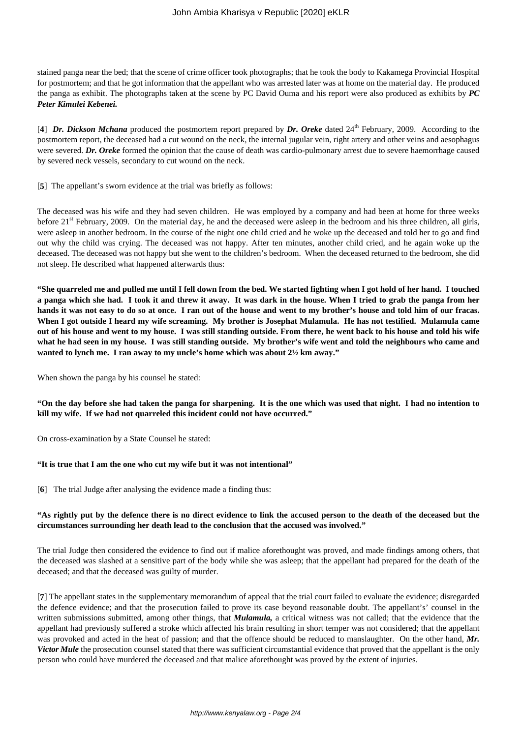stained panga near the bed; that the scene of crime officer took photographs; that he took the body to Kakamega Provincial Hospital for postmortem; and that he got information that the appellant who was arrested later was at home on the material day. He produced the panga as exhibit. The photographs taken at the scene by PC David Ouma and his report were also produced as exhibits by *PC Peter Kimulei Kebenei.*

[4] *Dr. Dickson Mchana* produced the postmortem report prepared by *Dr. Oreke* dated 24<sup>th</sup> February, 2009. According to the postmortem report, the deceased had a cut wound on the neck, the internal jugular vein, right artery and other veins and aesophagus were severed. *Dr. Oreke* formed the opinion that the cause of death was cardio-pulmonary arrest due to severe haemorrhage caused by severed neck vessels, secondary to cut wound on the neck.

[**5**] The appellant's sworn evidence at the trial was briefly as follows:

The deceased was his wife and they had seven children. He was employed by a company and had been at home for three weeks before  $21<sup>st</sup>$  February, 2009. On the material day, he and the deceased were asleep in the bedroom and his three children, all girls, were asleep in another bedroom. In the course of the night one child cried and he woke up the deceased and told her to go and find out why the child was crying. The deceased was not happy. After ten minutes, another child cried, and he again woke up the deceased. The deceased was not happy but she went to the children's bedroom. When the deceased returned to the bedroom, she did not sleep. He described what happened afterwards thus:

**"She quarreled me and pulled me until I fell down from the bed. We started fighting when I got hold of her hand. I touched a panga which she had. I took it and threw it away. It was dark in the house. When I tried to grab the panga from her hands it was not easy to do so at once. I ran out of the house and went to my brother's house and told him of our fracas. When I got outside I heard my wife screaming. My brother is Josephat Mulamula. He has not testified. Mulamula came out of his house and went to my house. I was still standing outside. From there, he went back to his house and told his wife what he had seen in my house. I was still standing outside. My brother's wife went and told the neighbours who came and wanted to lynch me. I ran away to my uncle's home which was about 2½ km away."**

When shown the panga by his counsel he stated:

**"On the day before she had taken the panga for sharpening. It is the one which was used that night. I had no intention to kill my wife. If we had not quarreled this incident could not have occurred."**

On cross-examination by a State Counsel he stated:

### **"It is true that I am the one who cut my wife but it was not intentional"**

[**6**] The trial Judge after analysing the evidence made a finding thus:

### **"As rightly put by the defence there is no direct evidence to link the accused person to the death of the deceased but the circumstances surrounding her death lead to the conclusion that the accused was involved."**

The trial Judge then considered the evidence to find out if malice aforethought was proved, and made findings among others, that the deceased was slashed at a sensitive part of the body while she was asleep; that the appellant had prepared for the death of the deceased; and that the deceased was guilty of murder.

[**7**] The appellant states in the supplementary memorandum of appeal that the trial court failed to evaluate the evidence; disregarded the defence evidence; and that the prosecution failed to prove its case beyond reasonable doubt. The appellant's' counsel in the written submissions submitted, among other things, that *Mulamula,* a critical witness was not called; that the evidence that the appellant had previously suffered a stroke which affected his brain resulting in short temper was not considered; that the appellant was provoked and acted in the heat of passion; and that the offence should be reduced to manslaughter. On the other hand, *Mr. Victor Mule* the prosecution counsel stated that there was sufficient circumstantial evidence that proved that the appellant is the only person who could have murdered the deceased and that malice aforethought was proved by the extent of injuries.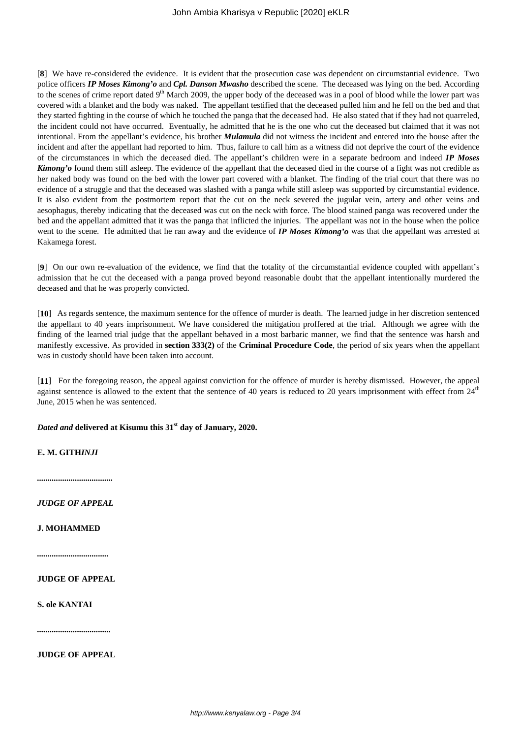[**8**] We have re-considered the evidence. It is evident that the prosecution case was dependent on circumstantial evidence. Two police officers *IP Moses Kimong'o* and *Cpl. Danson Mwasho* described the scene. The deceased was lying on the bed. According to the scenes of crime report dated  $9<sup>th</sup>$  March 2009, the upper body of the deceased was in a pool of blood while the lower part was covered with a blanket and the body was naked. The appellant testified that the deceased pulled him and he fell on the bed and that they started fighting in the course of which he touched the panga that the deceased had. He also stated that if they had not quarreled, the incident could not have occurred. Eventually, he admitted that he is the one who cut the deceased but claimed that it was not intentional. From the appellant's evidence, his brother *Mulamula* did not witness the incident and entered into the house after the incident and after the appellant had reported to him. Thus, failure to call him as a witness did not deprive the court of the evidence of the circumstances in which the deceased died. The appellant's children were in a separate bedroom and indeed *IP Moses Kimong'o* found them still asleep. The evidence of the appellant that the deceased died in the course of a fight was not credible as her naked body was found on the bed with the lower part covered with a blanket. The finding of the trial court that there was no evidence of a struggle and that the deceased was slashed with a panga while still asleep was supported by circumstantial evidence. It is also evident from the postmortem report that the cut on the neck severed the jugular vein, artery and other veins and aesophagus, thereby indicating that the deceased was cut on the neck with force. The blood stained panga was recovered under the bed and the appellant admitted that it was the panga that inflicted the injuries. The appellant was not in the house when the police went to the scene. He admitted that he ran away and the evidence of *IP Moses Kimong'o* was that the appellant was arrested at Kakamega forest.

[**9**] On our own re-evaluation of the evidence, we find that the totality of the circumstantial evidence coupled with appellant's admission that he cut the deceased with a panga proved beyond reasonable doubt that the appellant intentionally murdered the deceased and that he was properly convicted.

[**10**] As regards sentence, the maximum sentence for the offence of murder is death. The learned judge in her discretion sentenced the appellant to 40 years imprisonment. We have considered the mitigation proffered at the trial. Although we agree with the finding of the learned trial judge that the appellant behaved in a most barbaric manner, we find that the sentence was harsh and manifestly excessive. As provided in **section 333(2)** of the **Criminal Procedure Code**, the period of six years when the appellant was in custody should have been taken into account.

[**11**] For the foregoing reason, the appeal against conviction for the offence of murder is hereby dismissed. However, the appeal against sentence is allowed to the extent that the sentence of 40 years is reduced to 20 years imprisonment with effect from  $24<sup>th</sup>$ June, 2015 when he was sentenced.

*Dated and* **delivered at Kisumu this 31st day of January, 2020.**

**E. M. GITH***INJI*

*....................................*

*JUDGE OF APPEAL*

**J. MOHAMMED**

*..................................*

**JUDGE OF APPEAL**

**S. ole KANTAI**

*...................................*

**JUDGE OF APPEAL**